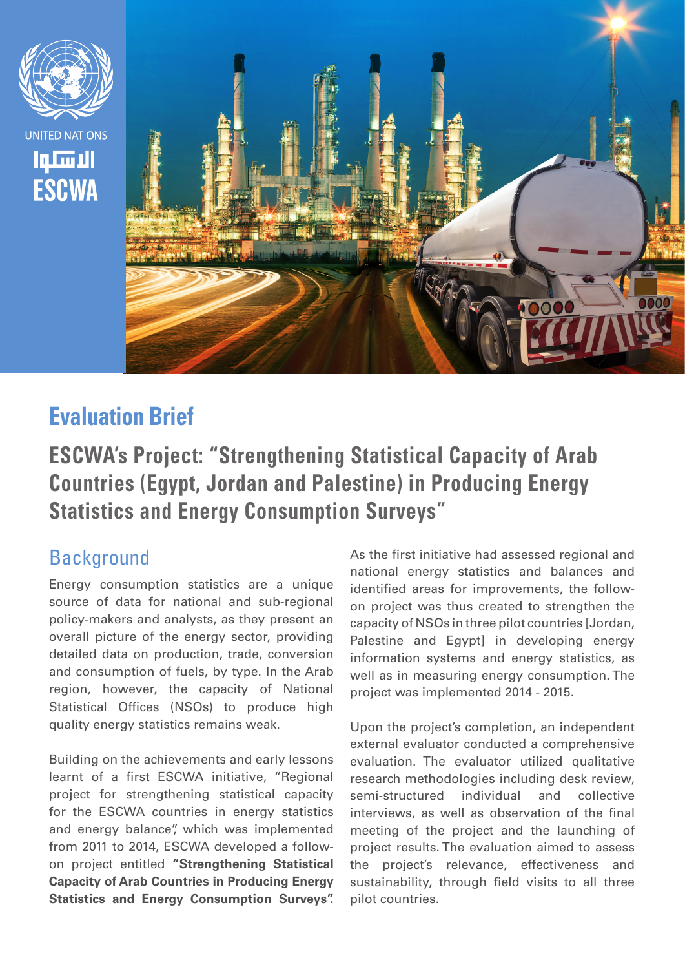

# **Evaluation Brief**

**ESCWA's Project: "Strengthening Statistical Capacity of Arab Countries (Egypt, Jordan and Palestine) in Producing Energy Statistics and Energy Consumption Surveys"**

#### **Background**

Energy consumption statistics are a unique source of data for national and sub-regional policy-makers and analysts, as they present an overall picture of the energy sector, providing detailed data on production, trade, conversion and consumption of fuels, by type. In the Arab region, however, the capacity of National Statistical Offices (NSOs) to produce high quality energy statistics remains weak.

Building on the achievements and early lessons learnt of a first ESCWA initiative, "Regional project for strengthening statistical capacity for the ESCWA countries in energy statistics and energy balance", which was implemented from 2011 to 2014, ESCWA developed a followon project entitled **"Strengthening Statistical Capacity of Arab Countries in Producing Energy Statistics and Energy Consumption Surveys".**

As the first initiative had assessed regional and national energy statistics and balances and identified areas for improvements, the followon project was thus created to strengthen the capacity of NSOs in three pilot countries [Jordan, Palestine and Egypt] in developing energy information systems and energy statistics, as well as in measuring energy consumption. The project was implemented 2014 - 2015.

Upon the project's completion, an independent external evaluator conducted a comprehensive evaluation. The evaluator utilized qualitative research methodologies including desk review, semi-structured individual and collective interviews, as well as observation of the final meeting of the project and the launching of project results. The evaluation aimed to assess the project's relevance, effectiveness and sustainability, through field visits to all three pilot countries.